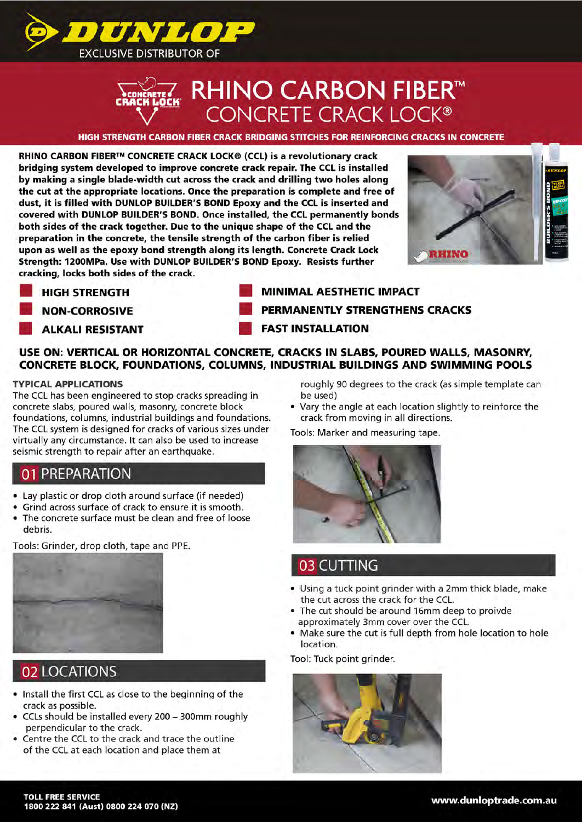

# **<del>2</del>7 RHINO CARBON FIBER™**<br>CONCRETE CRACK LOCK®

HIGH STRENGTH CARBON **FIBER** CRACK BRIDGING STITCHES FOR REINFORCING CRACKS IN CONCRETE

RHINO CARBON **FIBER™** CONCRETE CRACK LOCK® (CCL) is a revolutionary crack bridging system developed to improve concrete crack repair. The CCL is installed by making a single blade-width cut across the crack and drilling two holes along the cut at the appropriate locations. Once the preparation is complete and free of dust, it is filled with DUNLOP BUILDER'S BOND Epoxy and the CCL is inserted and covered with DUNLOP BUILDER'S BOND. Once installed, the CCL permanently bonds both sides of the crack together. Due to the unique shape of the CCL and the preparation in the concrete, the tensile strength of the carbon fiber is relied upon as well as the epoxy bond strength along its length. Concrete Crack Lock Strength: 1200MPa. Use with DUNLOP BUILDER'S BOND Epoxy. Resists further cracking, locks both sides of the crack.



■ HIGH STRENGTH ■ **MINIMAL** AESTHETIC **IMPACT NON-CORROSIVE BEET ALSO BEEN ASSESSED ASSESSED ASSESSED ASSESSED ASSESSED ASSESSED ASSESSED ASSESSED AND LOCAL AND LOCAL AND LOCAL AND LOCAL AND LOCAL AND LOCAL AND LOCAL AND LOCAL AND LOCAL AND LOCAL AND LOCAL AND LOCAL** ■ ALKALI RESISTANT ■ **FAST INSTALLATION** 

### **USE ON: VERTICAL OR HORIZONTAL CONCRETE, CRACKS IN SLABS, POURED WALLS, MASONRY, CONCRETE BLOCK, FOUNDATIONS, COLUMNS, INDUSTRIAL BUILDINGS AND SWIMMING POOLS**

#### **TYPICAL APPLICATIONS**

The CCL has been engineered to stop cracks spreading in concrete slabs, poured walls, masonry, concrete block foundations, columns, industrial buildings and foundations. The CCL system is designed for cracks of various sizes under virtually any circumstance. It can also be used to increase seismic strength to repair after an earthquake.

## 01 PREPARATION

- Lay plastic or drop cloth around surface (if needed)
- Grind across surface of crack to ensure it is smooth.
- The concrete surface must be clean and free of loose debris.

Tools: Grinder, drop cloth, tape and PPE.



# 02 LOCATIONS

- Install the first CCL as close to the beginning of the crack as possible.
- CCLs should be installed every 200 300mm roughly perpendicular to the crack.
- Centre the CCL to the crack and trace the outline of the CCL at each location and place them at

roughly 90 degrees to the crack (as simple template can be used)

• Vary the angle at each location slightly to reinforce the crack from moving in all directions.

Tools: Marker and measuring tape.



# 03 CUTTING

- Using a tuck point grinder with a 2mm thick blade, make the cut across the crack for the CCL.
- The cut should be around 16mm deep to proivde approximately 3mm cover over the CCL.
- Make sure the cut is full depth from hole location to hole location.

Tool: Tuck point grinder.